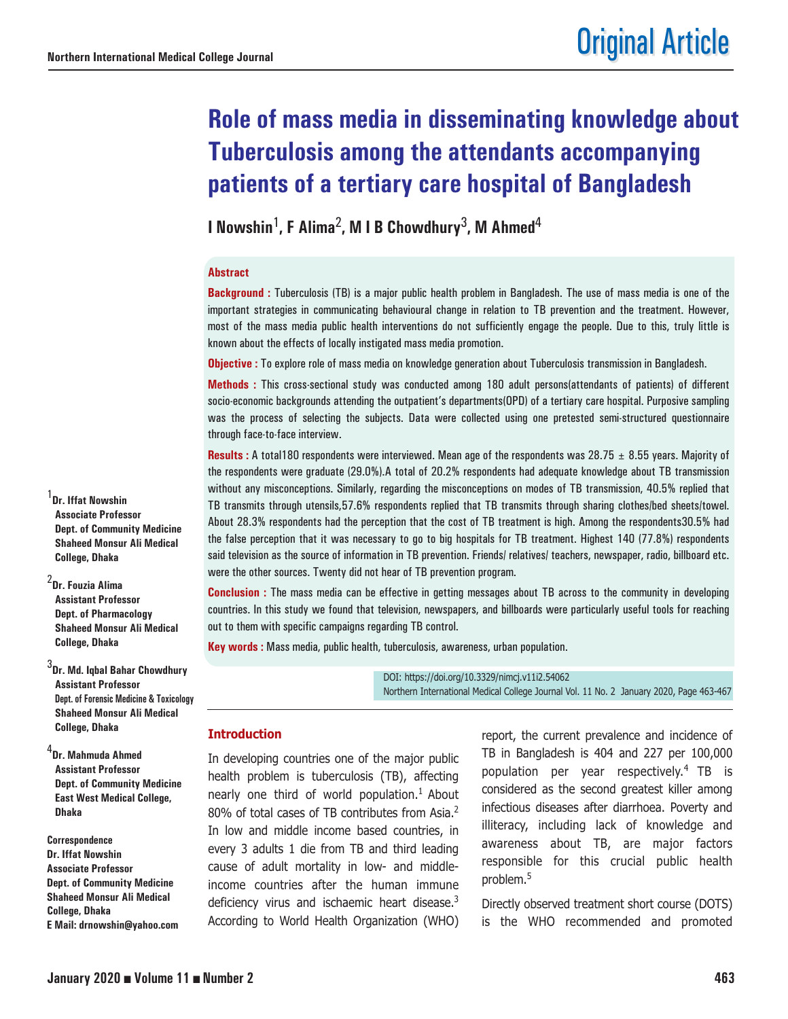# **Role of mass media in disseminating knowledge about Tuberculosis among the attendants accompanying patients of a tertiary care hospital of Bangladesh**

**I Nowshin**1**, F Alima**2**, M I B Chowdhury**3**, M Ahmed**<sup>4</sup>

#### **Abstract**

**Background :** Tuberculosis (TB) is a major public health problem in Bangladesh. The use of mass media is one of the important strategies in communicating behavioural change in relation to TB prevention and the treatment. However, most of the mass media public health interventions do not sufficiently engage the people. Due to this, truly little is known about the effects of locally instigated mass media promotion.

**Objective :** To explore role of mass media on knowledge generation about Tuberculosis transmission in Bangladesh.

**Methods :** This cross-sectional study was conducted among 180 adult persons(attendants of patients) of different socio-economic backgrounds attending the outpatient's departments(OPD) of a tertiary care hospital. Purposive sampling was the process of selecting the subjects. Data were collected using one pretested semi-structured questionnaire through face-to-face interview.

**Results :** A total180 respondents were interviewed. Mean age of the respondents was 28.75  $\pm$  8.55 years. Majority of the respondents were graduate (29.0%).A total of 20.2% respondents had adequate knowledge about TB transmission without any misconceptions. Similarly, regarding the misconceptions on modes of TB transmission, 40.5% replied that TB transmits through utensils,57.6% respondents replied that TB transmits through sharing clothes/bed sheets/towel. About 28.3% respondents had the perception that the cost of TB treatment is high. Among the respondents30.5% had the false perception that it was necessary to go to big hospitals for TB treatment. Highest 140 (77.8%) respondents said television as the source of information in TB prevention. Friends/ relatives/ teachers, newspaper, radio, billboard etc. were the other sources. Twenty did not hear of TB prevention program.

**Conclusion :** The mass media can be effective in getting messages about TB across to the community in developing countries. In this study we found that television, newspapers, and billboards were particularly useful tools for reaching out to them with specific campaigns regarding TB control.

**Key words :** Mass media, public health, tuberculosis, awareness, urban population.

DOI: https://doi.org/10.3329/nimcj.v11i2.54062 Northern International Medical College Journal Vol. 11 No. 2 January 2020, Page 463-467

#### **Introduction**

In developing countries one of the major public health problem is tuberculosis (TB), affecting nearly one third of world population.<sup>1</sup> About 80% of total cases of TB contributes from Asia.<sup>2</sup> In low and middle income based countries, in every 3 adults 1 die from TB and third leading cause of adult mortality in low- and middleincome countries after the human immune deficiency virus and ischaemic heart disease.<sup>3</sup> According to World Health Organization (WHO)

report, the current prevalence and incidence of TB in Bangladesh is 404 and 227 per 100,000 population per year respectively.4 TB is considered as the second greatest killer among infectious diseases after diarrhoea. Poverty and illiteracy, including lack of knowledge and awareness about TB, are major factors responsible for this crucial public health problem.5

Directly observed treatment short course (DOTS) is the WHO recommended and promoted

1 **Dr. Iffat Nowshin Associate Professor Dept. of Community Medicine Shaheed Monsur Ali Medical College, Dhaka**

2 **Dr. Fouzia Alima Assistant Professor Dept. of Pharmacology Shaheed Monsur Ali Medical College, Dhaka**

3 **Dr. Md. Iqbal Bahar Chowdhury Assistant Professor Dept. of Forensic Medicine & Toxicology Shaheed Monsur Ali Medical College, Dhaka**

4 **Dr. Mahmuda Ahmed Assistant Professor Dept. of Community Medicine East West Medical College, Dhaka**

**Correspondence Dr. Iffat Nowshin Associate Professor Dept. of Community Medicine Shaheed Monsur Ali Medical College, Dhaka E Mail: drnowshin@yahoo.com**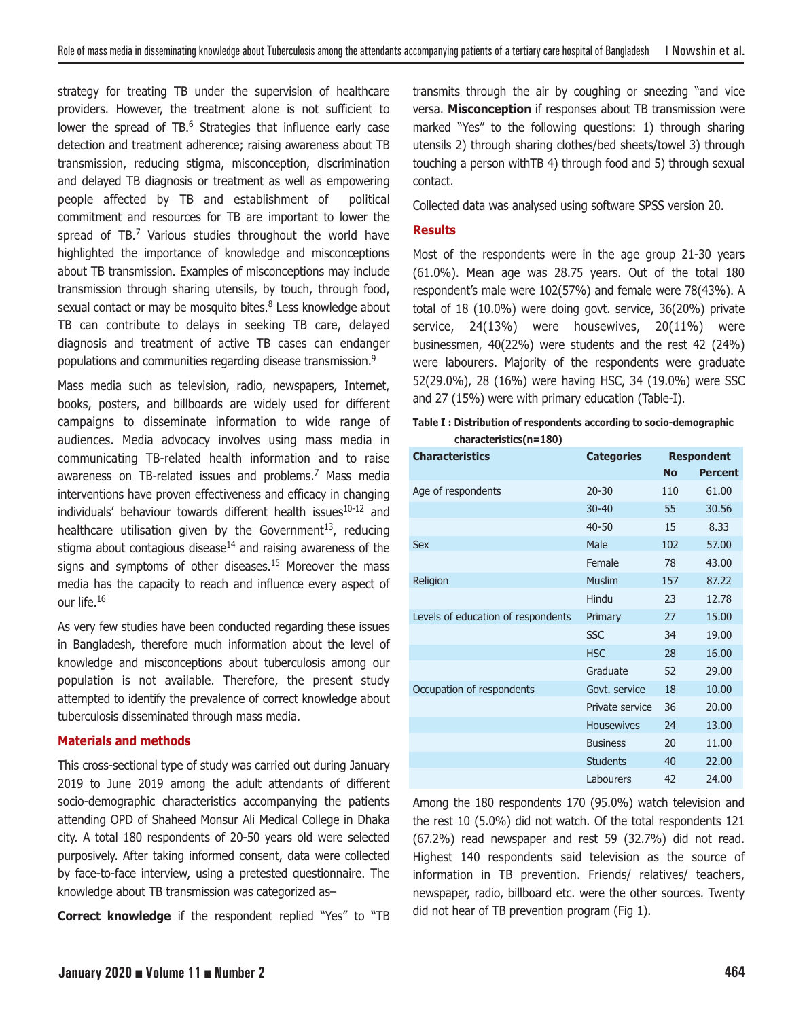strategy for treating TB under the supervision of healthcare providers. However, the treatment alone is not sufficient to lower the spread of TB.<sup>6</sup> Strategies that influence early case detection and treatment adherence; raising awareness about TB transmission, reducing stigma, misconception, discrimination and delayed TB diagnosis or treatment as well as empowering people affected by TB and establishment of political commitment and resources for TB are important to lower the spread of  $TB<sub>1</sub><sup>7</sup>$  Various studies throughout the world have highlighted the importance of knowledge and misconceptions about TB transmission. Examples of misconceptions may include transmission through sharing utensils, by touch, through food, sexual contact or may be mosquito bites. $8$  Less knowledge about TB can contribute to delays in seeking TB care, delayed diagnosis and treatment of active TB cases can endanger populations and communities regarding disease transmission.<sup>9</sup>

Mass media such as television, radio, newspapers, Internet, books, posters, and billboards are widely used for different campaigns to disseminate information to wide range of audiences. Media advocacy involves using mass media in communicating TB-related health information and to raise awareness on TB-related issues and problems.<sup>7</sup> Mass media interventions have proven effectiveness and efficacy in changing individuals' behaviour towards different health issues<sup>10-12</sup> and healthcare utilisation given by the Government<sup>13</sup>, reducing stigma about contagious disease $14$  and raising awareness of the signs and symptoms of other diseases.<sup>15</sup> Moreover the mass media has the capacity to reach and influence every aspect of our life.<sup>16</sup>

As very few studies have been conducted regarding these issues in Bangladesh, therefore much information about the level of knowledge and misconceptions about tuberculosis among our population is not available. Therefore, the present study attempted to identify the prevalence of correct knowledge about tuberculosis disseminated through mass media.

# **Materials and methods**

This cross-sectional type of study was carried out during January 2019 to June 2019 among the adult attendants of different socio-demographic characteristics accompanying the patients attending OPD of Shaheed Monsur Ali Medical College in Dhaka city. A total 180 respondents of 20-50 years old were selected purposively. After taking informed consent, data were collected by face-to-face interview, using a pretested questionnaire. The knowledge about TB transmission was categorized as–

**Correct knowledge** if the respondent replied "Yes" to "TB

transmits through the air by coughing or sneezing "and vice versa. **Misconception** if responses about TB transmission were marked "Yes" to the following questions: 1) through sharing utensils 2) through sharing clothes/bed sheets/towel 3) through touching a person withTB 4) through food and 5) through sexual contact.

Collected data was analysed using software SPSS version 20.

# **Results**

Most of the respondents were in the age group 21-30 years (61.0%). Mean age was 28.75 years. Out of the total 180 respondent's male were 102(57%) and female were 78(43%). A total of 18 (10.0%) were doing govt. service, 36(20%) private service, 24(13%) were housewives, 20(11%) were businessmen, 40(22%) were students and the rest 42 (24%) were labourers. Majority of the respondents were graduate 52(29.0%), 28 (16%) were having HSC, 34 (19.0%) were SSC and 27 (15%) were with primary education (Table-I).

|                        | Table I : Distribution of respondents according to socio-demographic |
|------------------------|----------------------------------------------------------------------|
| characteristics(n=180) |                                                                      |

| <b>Characteristics</b>             | <b>Categories</b> | <b>Respondent</b> |                |
|------------------------------------|-------------------|-------------------|----------------|
|                                    |                   | <b>No</b>         | <b>Percent</b> |
| Age of respondents                 | $20 - 30$         | 110               | 61.00          |
|                                    | $30 - 40$         | 55                | 30.56          |
|                                    | $40 - 50$         | 15                | 8.33           |
| Sex                                | Male              | 102               | 57.00          |
|                                    | Female            | 78                | 43.00          |
| Religion                           | <b>Muslim</b>     | 157               | 87.22          |
|                                    | Hindu             | 23                | 12.78          |
| Levels of education of respondents | Primary           | 27                | 15.00          |
|                                    | <b>SSC</b>        | 34                | 19.00          |
|                                    | <b>HSC</b>        | 28                | 16.00          |
|                                    | Graduate          | 52                | 29.00          |
| Occupation of respondents          | Govt. service     | 18                | 10.00          |
|                                    | Private service   | 36                | 20.00          |
|                                    | <b>Housewives</b> | 24                | 13.00          |
|                                    | <b>Business</b>   | 20                | 11.00          |
|                                    | <b>Students</b>   | 40                | 22.00          |
|                                    | Labourers         | 42                | 24.00          |

Among the 180 respondents 170 (95.0%) watch television and the rest 10 (5.0%) did not watch. Of the total respondents 121 (67.2%) read newspaper and rest 59 (32.7%) did not read. Highest 140 respondents said television as the source of information in TB prevention. Friends/ relatives/ teachers, newspaper, radio, billboard etc. were the other sources. Twenty did not hear of TB prevention program (Fig 1).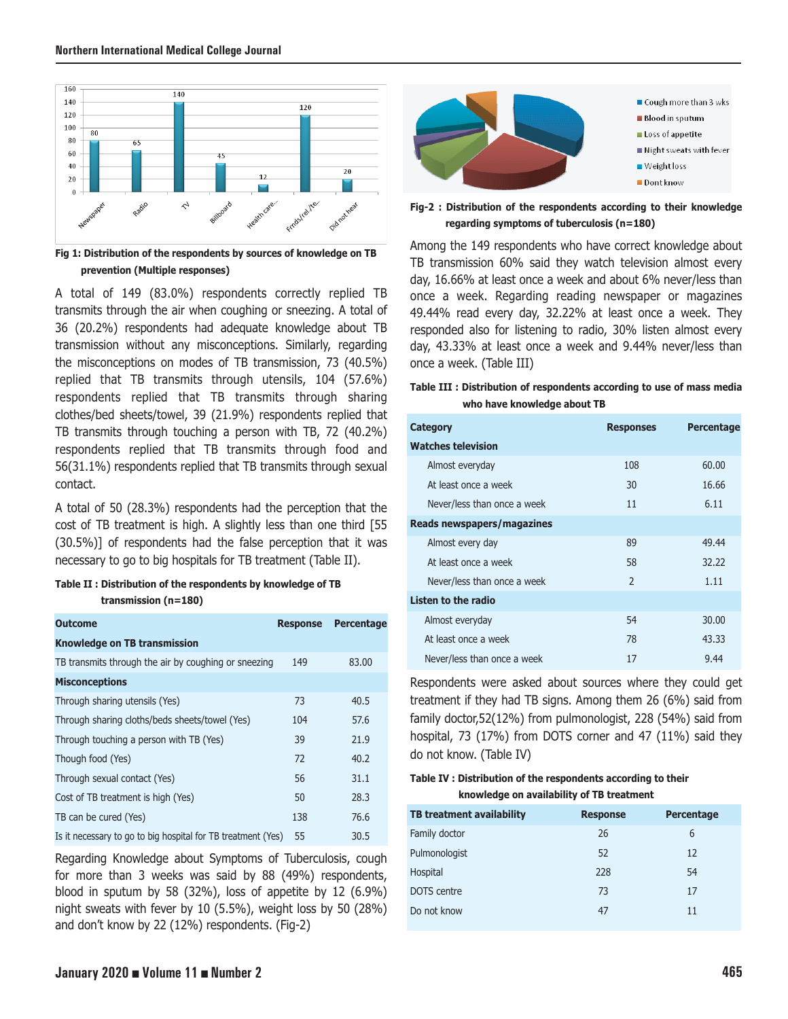

**Fig 1: Distribution of the respondents by sources of knowledge on TB prevention (Multiple responses)**

A total of 149 (83.0%) respondents correctly replied TB transmits through the air when coughing or sneezing. A total of 36 (20.2%) respondents had adequate knowledge about TB transmission without any misconceptions. Similarly, regarding the misconceptions on modes of TB transmission, 73 (40.5%) replied that TB transmits through utensils, 104 (57.6%) respondents replied that TB transmits through sharing clothes/bed sheets/towel, 39 (21.9%) respondents replied that TB transmits through touching a person with TB, 72 (40.2%) respondents replied that TB transmits through food and 56(31.1%) respondents replied that TB transmits through sexual contact.

A total of 50 (28.3%) respondents had the perception that the cost of TB treatment is high. A slightly less than one third [55 (30.5%)] of respondents had the false perception that it was necessary to go to big hospitals for TB treatment (Table II).

## **Table II : Distribution of the respondents by knowledge of TB transmission (n=180)**

| <b>Outcome</b>                                               | <b>Response</b> | Percentage |
|--------------------------------------------------------------|-----------------|------------|
| <b>Knowledge on TB transmission</b>                          |                 |            |
| TB transmits through the air by coughing or sneezing         | 149             | 83.00      |
| <b>Misconceptions</b>                                        |                 |            |
| Through sharing utensils (Yes)                               | 73              | 40.5       |
| Through sharing cloths/beds sheets/towel (Yes)               | 104             | 57.6       |
| Through touching a person with TB (Yes)                      | 39              | 21.9       |
| Though food (Yes)                                            | 72              | 40.2       |
| Through sexual contact (Yes)                                 | 56              | 31.1       |
| Cost of TB treatment is high (Yes)                           | 50              | 28.3       |
| TB can be cured (Yes)                                        | 138             | 76.6       |
| Is it necessary to go to big hospital for TB treatment (Yes) | 55              | 30.5       |

Regarding Knowledge about Symptoms of Tuberculosis, cough for more than 3 weeks was said by 88 (49%) respondents, blood in sputum by 58 (32%), loss of appetite by 12 (6.9%) night sweats with fever by 10 (5.5%), weight loss by 50 (28%) and don't know by 22 (12%) respondents. (Fig-2)



**Fig-2 : Distribution of the respondents according to their knowledge regarding symptoms of tuberculosis (n=180)**

Among the 149 respondents who have correct knowledge about TB transmission 60% said they watch television almost every day, 16.66% at least once a week and about 6% never/less than once a week. Regarding reading newspaper or magazines 49.44% read every day, 32.22% at least once a week. They responded also for listening to radio, 30% listen almost every day, 43.33% at least once a week and 9.44% never/less than once a week. (Table III)

## **Table III : Distribution of respondents according to use of mass media who have knowledge about TB**

| Category                    | <b>Responses</b> | <b>Percentage</b> |
|-----------------------------|------------------|-------------------|
| <b>Watches television</b>   |                  |                   |
| Almost everyday             | 108              | 60.00             |
| At least once a week        | 30               | 16.66             |
| Never/less than once a week | 11               | 6.11              |
| Reads newspapers/magazines  |                  |                   |
| Almost every day            | 89               | 49.44             |
| At least once a week        | 58               | 32.22             |
| Never/less than once a week | $\overline{2}$   | 1.11              |
| Listen to the radio         |                  |                   |
| Almost everyday             | 54               | 30.00             |
| At least once a week        | 78               | 43.33             |
| Never/less than once a week | 17               | 9.44              |

Respondents were asked about sources where they could get treatment if they had TB signs. Among them 26 (6%) said from family doctor,52(12%) from pulmonologist, 228 (54%) said from hospital, 73 (17%) from DOTS corner and 47 (11%) said they do not know. (Table IV)

### **Table IV : Distribution of the respondents according to their knowledge on availability of TB treatment**

| <b>TB treatment availability</b> | <b>Response</b> | <b>Percentage</b> |
|----------------------------------|-----------------|-------------------|
| Family doctor                    | 26              | 6                 |
| Pulmonologist                    | 52              | 12                |
| Hospital                         | 228             | 54                |
| <b>DOTS</b> centre               | 73              | 17                |
| Do not know                      | 47              | 11                |
|                                  |                 |                   |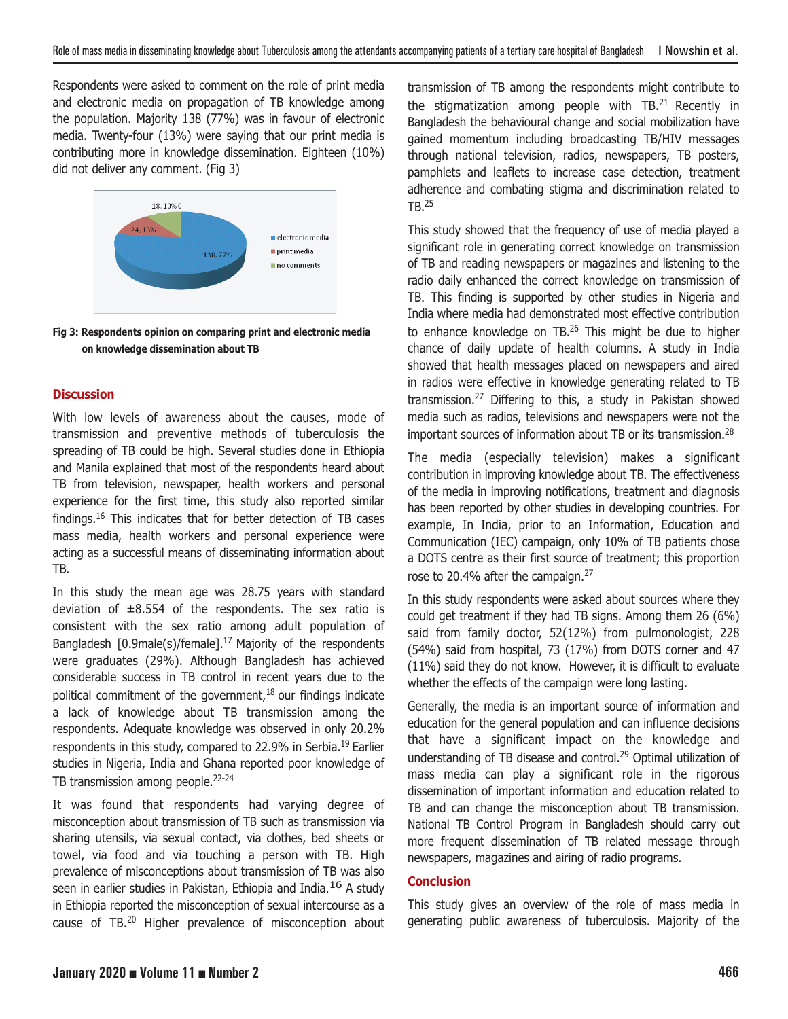Respondents were asked to comment on the role of print media and electronic media on propagation of TB knowledge among the population. Majority 138 (77%) was in favour of electronic media. Twenty-four (13%) were saying that our print media is contributing more in knowledge dissemination. Eighteen (10%) did not deliver any comment. (Fig 3)



**Fig 3: Respondents opinion on comparing print and electronic media on knowledge dissemination about TB**

## **Discussion**

With low levels of awareness about the causes, mode of transmission and preventive methods of tuberculosis the spreading of TB could be high. Several studies done in Ethiopia and Manila explained that most of the respondents heard about TB from television, newspaper, health workers and personal experience for the first time, this study also reported similar findings.16 This indicates that for better detection of TB cases mass media, health workers and personal experience were acting as a successful means of disseminating information about TB.

In this study the mean age was 28.75 years with standard deviation of ±8.554 of the respondents. The sex ratio is consistent with the sex ratio among adult population of Bangladesh [0.9male(s)/female].17 Majority of the respondents were graduates (29%). Although Bangladesh has achieved considerable success in TB control in recent years due to the political commitment of the government, $18$  our findings indicate a lack of knowledge about TB transmission among the respondents. Adequate knowledge was observed in only 20.2% respondents in this study, compared to 22.9% in Serbia.<sup>19</sup> Earlier studies in Nigeria, India and Ghana reported poor knowledge of TB transmission among people.<sup>22-24</sup>

It was found that respondents had varying degree of misconception about transmission of TB such as transmission via sharing utensils, via sexual contact, via clothes, bed sheets or towel, via food and via touching a person with TB. High prevalence of misconceptions about transmission of TB was also seen in earlier studies in Pakistan, Ethiopia and India.<sup>16</sup> A study in Ethiopia reported the misconception of sexual intercourse as a cause of TB.<sup>20</sup> Higher prevalence of misconception about transmission of TB among the respondents might contribute to the stigmatization among people with TB.<sup>21</sup> Recently in Bangladesh the behavioural change and social mobilization have gained momentum including broadcasting TB/HIV messages through national television, radios, newspapers, TB posters, pamphlets and leaflets to increase case detection, treatment adherence and combating stigma and discrimination related to TB.<sup>25</sup>

This study showed that the frequency of use of media played a significant role in generating correct knowledge on transmission of TB and reading newspapers or magazines and listening to the radio daily enhanced the correct knowledge on transmission of TB. This finding is supported by other studies in Nigeria and India where media had demonstrated most effective contribution to enhance knowledge on TB.<sup>26</sup> This might be due to higher chance of daily update of health columns. A study in India showed that health messages placed on newspapers and aired in radios were effective in knowledge generating related to TB transmission.27 Differing to this, a study in Pakistan showed media such as radios, televisions and newspapers were not the important sources of information about TB or its transmission.<sup>28</sup>

The media (especially television) makes a significant contribution in improving knowledge about TB. The effectiveness of the media in improving notifications, treatment and diagnosis has been reported by other studies in developing countries. For example, In India, prior to an Information, Education and Communication (IEC) campaign, only 10% of TB patients chose a DOTS centre as their first source of treatment; this proportion rose to 20.4% after the campaign.<sup>27</sup>

In this study respondents were asked about sources where they could get treatment if they had TB signs. Among them 26 (6%) said from family doctor, 52(12%) from pulmonologist, 228 (54%) said from hospital, 73 (17%) from DOTS corner and 47 (11%) said they do not know. However, it is difficult to evaluate whether the effects of the campaign were long lasting.

Generally, the media is an important source of information and education for the general population and can influence decisions that have a significant impact on the knowledge and understanding of TB disease and control.29 Optimal utilization of mass media can play a significant role in the rigorous dissemination of important information and education related to TB and can change the misconception about TB transmission. National TB Control Program in Bangladesh should carry out more frequent dissemination of TB related message through newspapers, magazines and airing of radio programs.

## **Conclusion**

This study gives an overview of the role of mass media in generating public awareness of tuberculosis. Majority of the